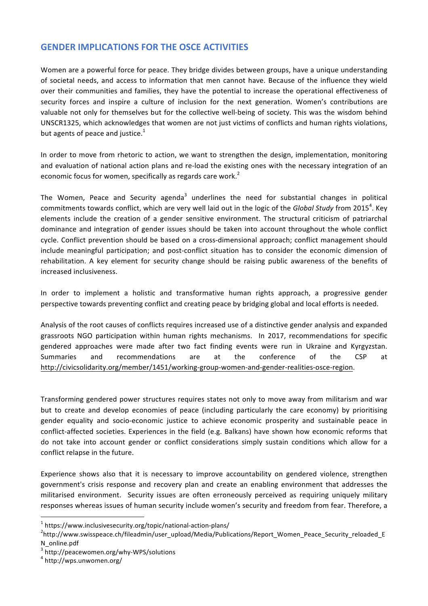## **GENDER IMPLICATIONS FOR THE OSCE ACTIVITIES**

Women are a powerful force for peace. They bridge divides between groups, have a unique understanding of societal needs, and access to information that men cannot have. Because of the influence they wield over their communities and families, they have the potential to increase the operational effectiveness of security forces and inspire a culture of inclusion for the next generation. Women's contributions are valuable not only for themselves but for the collective well-being of society. This was the wisdom behind UNSCR1325, which acknowledges that women are not just victims of conflicts and human rights violations, but agents of peace and justice.<sup>1</sup>

In order to move from rhetoric to action, we want to strengthen the design, implementation, monitoring and evaluation of national action plans and re-load the existing ones with the necessary integration of an economic focus for women, specifically as regards care work. $^2$ 

The Women, Peace and Security agenda<sup>3</sup> underlines the need for substantial changes in political commitments towards conflict, which are very well laid out in the logic of the *Global Study* from 2015<sup>4</sup>. Key elements include the creation of a gender sensitive environment. The structural criticism of patriarchal dominance and integration of gender issues should be taken into account throughout the whole conflict cycle. Conflict prevention should be based on a cross-dimensional approach; conflict management should include meaningful participation; and post-conflict situation has to consider the economic dimension of rehabilitation. A key element for security change should be raising public awareness of the benefits of increased inclusiveness. 

In order to implement a holistic and transformative human rights approach, a progressive gender perspective towards preventing conflict and creating peace by bridging global and local efforts is needed.

Analysis of the root causes of conflicts requires increased use of a distinctive gender analysis and expanded grassroots NGO participation within human rights mechanisms. In 2017, recommendations for specific gendered approaches were made after two fact finding events were run in Ukraine and Kyrgyzstan. Summaries and recommendations are at the conference of the CSP at http://civicsolidarity.org/member/1451/working-group-women-and-gender-realities-osce-region.

Transforming gendered power structures requires states not only to move away from militarism and war but to create and develop economies of peace (including particularly the care economy) by prioritising gender equality and socio-economic justice to achieve economic prosperity and sustainable peace in conflict-affected societies. Experiences in the field (e.g. Balkans) have shown how economic reforms that do not take into account gender or conflict considerations simply sustain conditions which allow for a conflict relapse in the future.

Experience shows also that it is necessary to improve accountability on gendered violence, strengthen government's crisis response and recovery plan and create an enabling environment that addresses the militarised environment. Security issues are often erroneously perceived as requiring uniquely military responses whereas issues of human security include women's security and freedom from fear. Therefore, a

<u> 1989 - Johann Barn, mars ann an t-Amhain an t-Amhain an t-Amhain an t-Amhain an t-Amhain an t-Amhain an t-Amh</u>

 $1$  https://www.inclusivesecurity.org/topic/national-action-plans/

http://www.swisspeace.ch/fileadmin/user\_upload/Media/Publications/Report\_Women\_Peace\_Security\_reloaded\_E N\_online.pdf 

 $3$  http://peacewomen.org/why-WPS/solutions<br> $4$  http://wps.unwomen.org/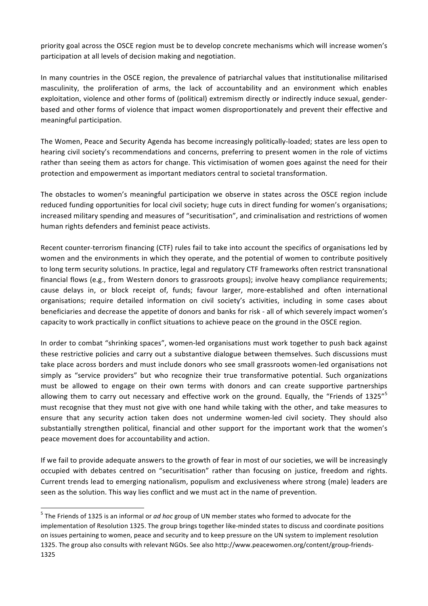priority goal across the OSCE region must be to develop concrete mechanisms which will increase women's participation at all levels of decision making and negotiation.

In many countries in the OSCE region, the prevalence of patriarchal values that institutionalise militarised masculinity, the proliferation of arms, the lack of accountability and an environment which enables exploitation, violence and other forms of (political) extremism directly or indirectly induce sexual, genderbased and other forms of violence that impact women disproportionately and prevent their effective and meaningful participation.

The Women, Peace and Security Agenda has become increasingly politically-loaded; states are less open to hearing civil society's recommendations and concerns, preferring to present women in the role of victims rather than seeing them as actors for change. This victimisation of women goes against the need for their protection and empowerment as important mediators central to societal transformation.

The obstacles to women's meaningful participation we observe in states across the OSCE region include reduced funding opportunities for local civil society; huge cuts in direct funding for women's organisations; increased military spending and measures of "securitisation", and criminalisation and restrictions of women human rights defenders and feminist peace activists.

Recent counter-terrorism financing (CTF) rules fail to take into account the specifics of organisations led by women and the environments in which they operate, and the potential of women to contribute positively to long term security solutions. In practice, legal and regulatory CTF frameworks often restrict transnational financial flows (e.g., from Western donors to grassroots groups); involve heavy compliance requirements; cause delays in, or block receipt of, funds; favour larger, more-established and often international organisations; require detailed information on civil society's activities, including in some cases about beneficiaries and decrease the appetite of donors and banks for risk - all of which severely impact women's capacity to work practically in conflict situations to achieve peace on the ground in the OSCE region.

In order to combat "shrinking spaces", women-led organisations must work together to push back against these restrictive policies and carry out a substantive dialogue between themselves. Such discussions must take place across borders and must include donors who see small grassroots women-led organisations not simply as "service providers" but who recognize their true transformative potential. Such organizations must be allowed to engage on their own terms with donors and can create supportive partnerships allowing them to carry out necessary and effective work on the ground. Equally, the "Friends of 1325"<sup>5</sup> must recognise that they must not give with one hand while taking with the other, and take measures to ensure that any security action taken does not undermine women-led civil society. They should also substantially strengthen political, financial and other support for the important work that the women's peace movement does for accountability and action.

If we fail to provide adequate answers to the growth of fear in most of our societies, we will be increasingly occupied with debates centred on "securitisation" rather than focusing on justice, freedom and rights. Current trends lead to emerging nationalism, populism and exclusiveness where strong (male) leaders are seen as the solution. This way lies conflict and we must act in the name of prevention.

<u> 1989 - Johann Barn, mars ann an t-Amhain an t-Amhain an t-Amhain an t-Amhain an t-Amhain an t-Amhain an t-Amh</u>

<sup>&</sup>lt;sup>5</sup> The Friends of 1325 is an informal or *ad hoc* group of UN member states who formed to advocate for the implementation of Resolution 1325. The group brings together like-minded states to discuss and coordinate positions on issues pertaining to women, peace and security and to keep pressure on the UN system to implement resolution 1325. The group also consults with relevant NGOs. See also http://www.peacewomen.org/content/group-friends-1325